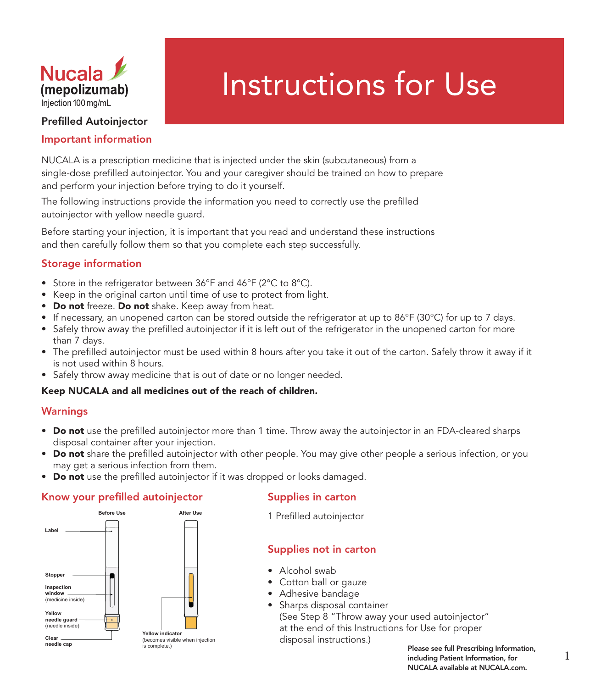

# Instructions for Use

## Prefilled Autoinjector

## Important information

NUCALA is a prescription medicine that is injected under the skin (subcutaneous) from a single-dose prefilled autoinjector. You and your caregiver should be trained on how to prepare and perform your injection before trying to do it yourself.

The following instructions provide the information you need to correctly use the prefilled autoinjector with yellow needle guard.

Before starting your injection, it is important that you read and understand these instructions and then carefully follow them so that you complete each step successfully.

# Storage information

- Store in the refrigerator between 36°F and 46°F (2°C to 8°C).
- Keep in the original carton until time of use to protect from light.
- Do not freeze. Do not shake. Keep away from heat.
- If necessary, an unopened carton can be stored outside the refrigerator at up to 86°F (30°C) for up to 7 days.
- Safely throw away the prefilled autoinjector if it is left out of the refrigerator in the unopened carton for more than 7 days.
- The prefilled autoinjector must be used within 8 hours after you take it out of the carton. Safely throw it away if it is not used within 8 hours.
- Safely throw away medicine that is out of date or no longer needed.

#### Keep NUCALA and all medicines out of the reach of children.

#### Warnings

- Do not use the prefilled autoinjector more than 1 time. Throw away the autoinjector in an FDA-cleared sharps disposal container after your injection.
- Do not share the prefilled autoinjector with other people. You may give other people a serious infection, or you may get a serious infection from them.
- Do not use the prefilled autoinjector if it was dropped or looks damaged.

#### Know your prefilled autoinjector



# Supplies in carton

1 Prefilled autoinjector

# Supplies not in carton

- Alcohol swab
- Cotton ball or gauze
- Adhesive bandage
- Sharps disposal container (See Step 8 "Throw away your used autoinjector" at the end of this Instructions for Use for proper disposal instructions.)

Please see full Prescribing Information,<br>including Patient Information, for and I including Patient Information, for NUCALA available at NUCALA.com.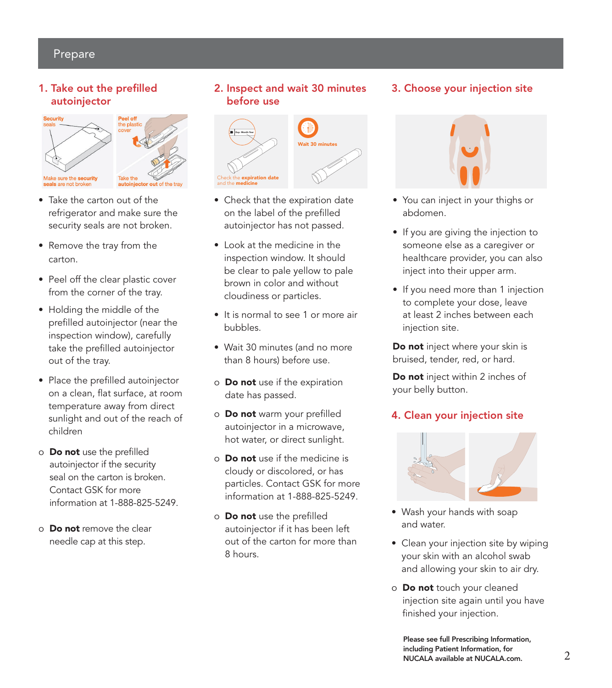# Prepare

#### 1. Take out the prefilled autoinjector





- Take the carton out of the refrigerator and make sure the security seals are not broken.
- Remove the tray from the carton.
- Peel off the clear plastic cover from the corner of the tray.
- Holding the middle of the prefilled autoinjector (near the inspection window), carefully take the prefilled autoinjector out of the tray.
- Place the prefilled autoinjector on a clean, flat surface, at room temperature away from direct sunlight and out of the reach of children
- o Do not use the prefilled autoinjector if the security seal on the carton is broken. Contact GSK for more information at 1-888-825-5249.
- o **Do not** remove the clear needle cap at this step.

# 2. Inspect and wait 30 minutes before use



- Check that the expiration date on the label of the prefilled autoinjector has not passed.
- Look at the medicine in the inspection window. It should be clear to pale yellow to pale brown in color and without cloudiness or particles.
- It is normal to see 1 or more air bubbles.
- Wait 30 minutes (and no more than 8 hours) before use.
- o **Do not** use if the expiration date has passed.
- o Do not warm your prefilled autoinjector in a microwave, hot water, or direct sunlight.
- o **Do not** use if the medicine is cloudy or discolored, or has particles. Contact GSK for more information at 1-888-825-5249.
- o **Do not** use the prefilled autoinjector if it has been left out of the carton for more than 8 hours.

# 3. Choose your injection site



- You can inject in your thighs or abdomen.
- If you are giving the injection to someone else as a caregiver or healthcare provider, you can also inject into their upper arm.
- If you need more than 1 injection to complete your dose, leave at least 2 inches between each injection site.

Do not inject where your skin is bruised, tender, red, or hard.

Do not inject within 2 inches of your belly button.

# 4. Clean your injection site



- Wash your hands with soap and water.
- Clean your injection site by wiping your skin with an alcohol swab and allowing your skin to air dry.
- o Do not touch your cleaned injection site again until you have finished your injection.

Please see full Prescribing Information, including Patient Information, for NUCALA available at NUCALA.com.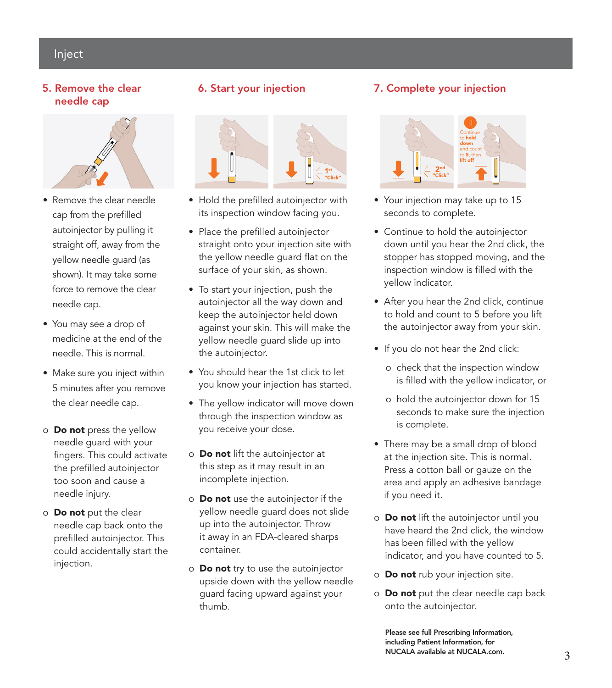# Inject

#### 5. Remove the clear needle cap



- Remove the clear needle cap from the prefilled autoinjector by pulling it straight off, away from the yellow needle guard (as shown). It may take some force to remove the clear needle cap.
- You may see a drop of medicine at the end of the needle. This is normal.
- Make sure you inject within 5 minutes after you remove the clear needle cap.
- o **Do not** press the yellow needle guard with your fingers. This could activate the prefilled autoinjector too soon and cause a needle injury.
- o Do not put the clear needle cap back onto the prefilled autoinjector. This could accidentally start the injection.

# 6. Start your injection



- Hold the prefilled autoinjector with its inspection window facing you.
- Place the prefilled autoinjector straight onto your injection site with the yellow needle guard flat on the surface of your skin, as shown.
- To start your injection, push the autoinjector all the way down and keep the autoinjector held down against your skin. This will make the yellow needle guard slide up into the autoinjector.
- You should hear the 1st click to let you know your injection has started.
- The yellow indicator will move down through the inspection window as you receive your dose.
- o Do not lift the autoinjector at this step as it may result in an incomplete injection.
- o Do not use the autoinjector if the yellow needle guard does not slide up into the autoinjector. Throw it away in an FDA-cleared sharps container.
- o **Do not** try to use the autoinjector upside down with the yellow needle guard facing upward against your thumb.

# 7. Complete your injection



- Your injection may take up to 15 seconds to complete.
- Continue to hold the autoinjector down until you hear the 2nd click, the stopper has stopped moving, and the inspection window is filled with the yellow indicator.
- After you hear the 2nd click, continue to hold and count to 5 before you lift the autoinjector away from your skin.
- If you do not hear the 2nd click:
	- o check that the inspection window is filled with the yellow indicator, or
	- o hold the autoinjector down for 15 seconds to make sure the injection is complete.
- There may be a small drop of blood at the injection site. This is normal. Press a cotton ball or gauze on the area and apply an adhesive bandage if you need it.
- o Do not lift the autoinjector until you have heard the 2nd click, the window has been filled with the yellow indicator, and you have counted to 5.
- o Do not rub your injection site.
- o **Do not** put the clear needle cap back onto the autoinjector.

Please see full Prescribing Information, including Patient Information, for NUCALA available at NUCALA.com.